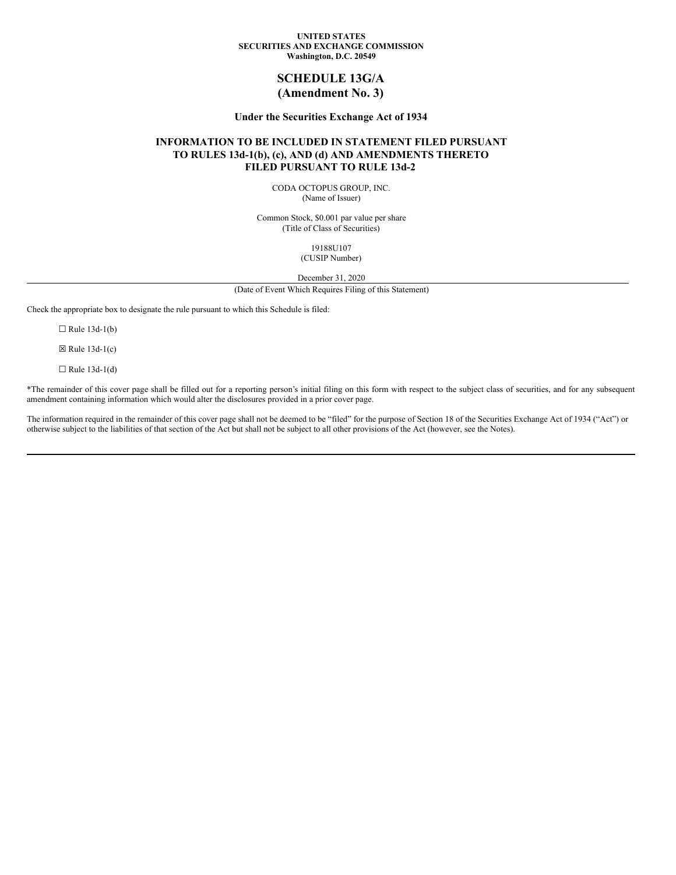### **UNITED STATES SECURITIES AND EXCHANGE COMMISSION Washington, D.C. 20549**

# **SCHEDULE 13G/A (Amendment No. 3)**

## **Under the Securities Exchange Act of 1934**

## **INFORMATION TO BE INCLUDED IN STATEMENT FILED PURSUANT TO RULES 13d-1(b), (c), AND (d) AND AMENDMENTS THERETO FILED PURSUANT TO RULE 13d-2**

CODA OCTOPUS GROUP, INC. (Name of Issuer)

Common Stock, \$0.001 par value per share (Title of Class of Securities)

> 19188U107 (CUSIP Number)

December 31, 2020

(Date of Event Which Requires Filing of this Statement)

Check the appropriate box to designate the rule pursuant to which this Schedule is filed:

 $\Box$  Rule 13d-1(b)

 $\boxtimes$  Rule 13d-1(c)

 $\Box$  Rule 13d-1(d)

\*The remainder of this cover page shall be filled out for a reporting person's initial filing on this form with respect to the subject class of securities, and for any subsequent amendment containing information which would alter the disclosures provided in a prior cover page.

The information required in the remainder of this cover page shall not be deemed to be "filed" for the purpose of Section 18 of the Securities Exchange Act of 1934 ("Act") or otherwise subject to the liabilities of that section of the Act but shall not be subject to all other provisions of the Act (however, see the Notes).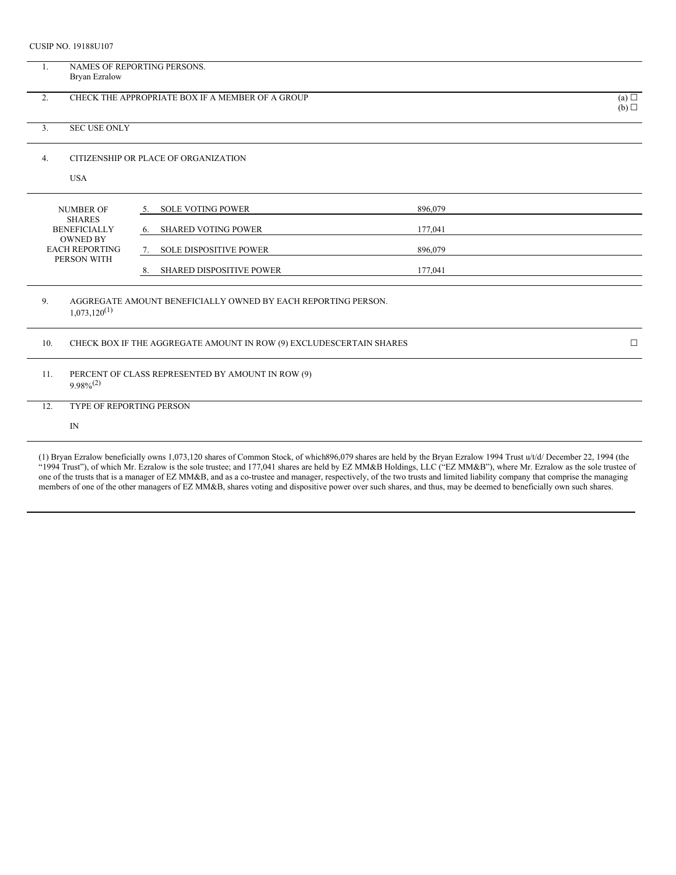CUSIP NO. 19188U107

|                                                                                                 | <b>Bryan Ezralow</b>                             | NAMES OF REPORTING PERSONS.                                         |         |        |  |
|-------------------------------------------------------------------------------------------------|--------------------------------------------------|---------------------------------------------------------------------|---------|--------|--|
| 2.                                                                                              | CHECK THE APPROPRIATE BOX IF A MEMBER OF A GROUP |                                                                     |         |        |  |
| 3.                                                                                              | <b>SEC USE ONLY</b>                              |                                                                     |         |        |  |
| 4.                                                                                              |                                                  | CITIZENSHIP OR PLACE OF ORGANIZATION                                |         |        |  |
|                                                                                                 | <b>USA</b>                                       |                                                                     |         |        |  |
|                                                                                                 | <b>NUMBER OF</b>                                 | <b>SOLE VOTING POWER</b><br>5.                                      | 896,079 |        |  |
| <b>SHARES</b><br><b>BENEFICIALLY</b><br><b>OWNED BY</b><br><b>EACH REPORTING</b><br>PERSON WITH |                                                  | <b>SHARED VOTING POWER</b><br>6.                                    | 177,041 |        |  |
|                                                                                                 |                                                  | <b>SOLE DISPOSITIVE POWER</b><br>7.                                 | 896,079 |        |  |
|                                                                                                 |                                                  |                                                                     |         |        |  |
|                                                                                                 |                                                  | <b>SHARED DISPOSITIVE POWER</b><br>8.                               | 177,041 |        |  |
| 9.                                                                                              | $1,073,120^{(1)}$                                | AGGREGATE AMOUNT BENEFICIALLY OWNED BY EACH REPORTING PERSON.       |         |        |  |
| 10.                                                                                             |                                                  | CHECK BOX IF THE AGGREGATE AMOUNT IN ROW (9) EXCLUDESCERTAIN SHARES |         | $\Box$ |  |
| 11.                                                                                             | $9.98\%^{(2)}$                                   | PERCENT OF CLASS REPRESENTED BY AMOUNT IN ROW (9)                   |         |        |  |
| 12.                                                                                             | TYPE OF REPORTING PERSON                         |                                                                     |         |        |  |

(1) Bryan Ezralow beneficially owns 1,073,120 shares of Common Stock, of which896,079 shares are held by the Bryan Ezralow 1994 Trust u/t/d/ December 22, 1994 (the "1994 Trust"), of which Mr. Ezralow is the sole trustee; and 177,041 shares are held by EZ MM&B Holdings, LLC ("EZ MM&B"), where Mr. Ezralow as the sole trustee of one of the trusts that is a manager of EZ MM&B, and as a co-trustee and manager, respectively, of the two trusts and limited liability company that comprise the managing members of one of the other managers of EZ MM&B, shares voting and dispositive power over such shares, and thus, may be deemed to beneficially own such shares.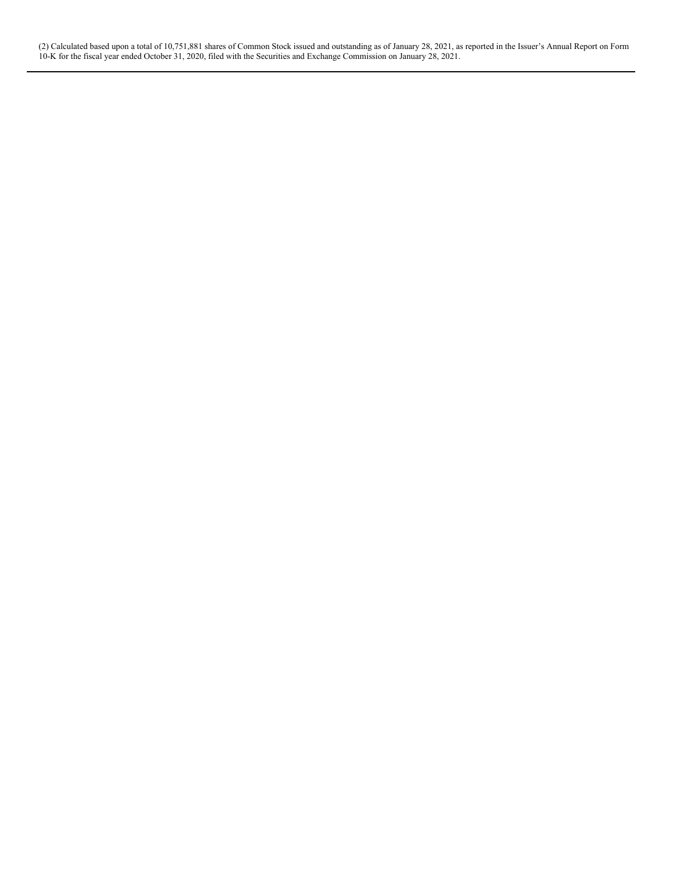(2) Calculated based upon a total of 10,751,881 shares of Common Stock issued and outstanding as of January 28, 2021, as reported in the Issuer's Annual Report on Form 10-K for the fiscal year ended October 31, 2020, filed with the Securities and Exchange Commission on January 28, 2021.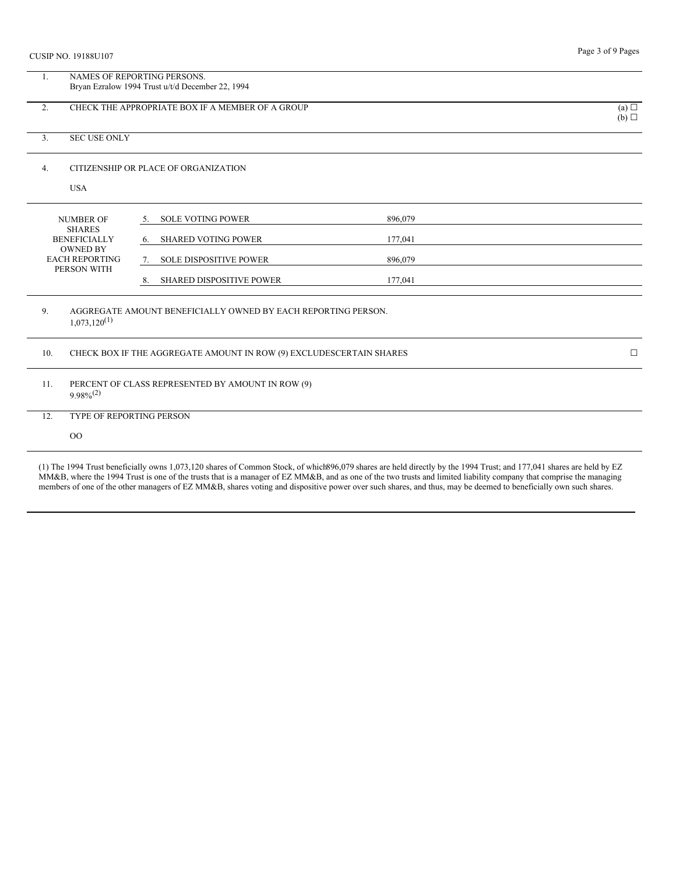| <b>CUSIP NO. 19188U107</b>                              | Page 3 of 9 Pages                                                               |         |  |  |  |
|---------------------------------------------------------|---------------------------------------------------------------------------------|---------|--|--|--|
| 1.                                                      | NAMES OF REPORTING PERSONS.<br>Bryan Ezralow 1994 Trust u/t/d December 22, 1994 |         |  |  |  |
| CHECK THE APPROPRIATE BOX IF A MEMBER OF A GROUP<br>2.  | (a)<br>(b)                                                                      |         |  |  |  |
| <b>SEC USE ONLY</b><br>3.                               |                                                                                 |         |  |  |  |
| 4.<br><b>USA</b>                                        | CITIZENSHIP OR PLACE OF ORGANIZATION                                            |         |  |  |  |
|                                                         |                                                                                 |         |  |  |  |
| <b>NUMBER OF</b>                                        | <b>SOLE VOTING POWER</b><br>5.                                                  | 896,079 |  |  |  |
| <b>SHARES</b><br><b>BENEFICIALLY</b>                    | <b>SHARED VOTING POWER</b><br>6.                                                | 177,041 |  |  |  |
| <b>OWNED BY</b><br><b>EACH REPORTING</b><br>PERSON WITH | <b>SOLE DISPOSITIVE POWER</b><br>7.                                             | 896,079 |  |  |  |
|                                                         | <b>SHARED DISPOSITIVE POWER</b><br>8.                                           | 177,041 |  |  |  |
| 9.<br>$1,073,120^{(1)}$                                 | AGGREGATE AMOUNT BENEFICIALLY OWNED BY EACH REPORTING PERSON.                   |         |  |  |  |
| 10.                                                     | CHECK BOX IF THE AGGREGATE AMOUNT IN ROW (9) EXCLUDESCERTAIN SHARES             |         |  |  |  |
| 11.<br>$9.98\%^{(2)}$                                   | PERCENT OF CLASS REPRESENTED BY AMOUNT IN ROW (9)                               |         |  |  |  |
| 12.                                                     | TYPE OF REPORTING PERSON                                                        |         |  |  |  |
| $_{\rm OO}$                                             |                                                                                 |         |  |  |  |
|                                                         |                                                                                 |         |  |  |  |

(1) The 1994 Trust beneficially owns 1,073,120 shares of Common Stock, of which896,079 shares are held directly by the 1994 Trust; and 177,041 shares are held by EZ MM&B, where the 1994 Trust is one of the trusts that is a manager of EZ MM&B, and as one of the two trusts and limited liability company that comprise the managing members of one of the other managers of EZ MM&B, shares voting and dispositive power over such shares, and thus, may be deemed to beneficially own such shares.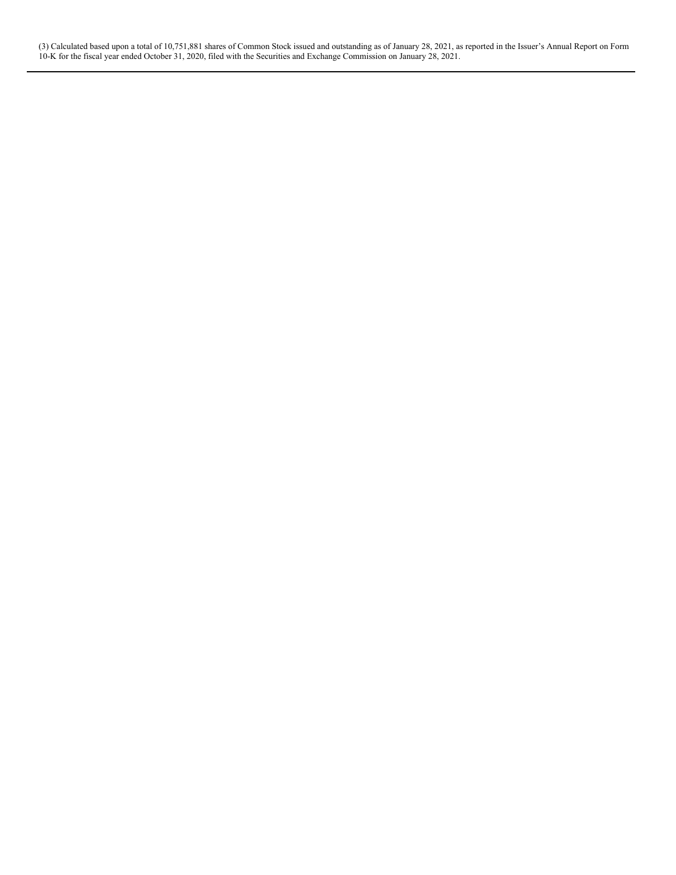(3) Calculated based upon a total of 10,751,881 shares of Common Stock issued and outstanding as of January 28, 2021, as reported in the Issuer's Annual Report on Form 10-K for the fiscal year ended October 31, 2020, filed with the Securities and Exchange Commission on January 28, 2021.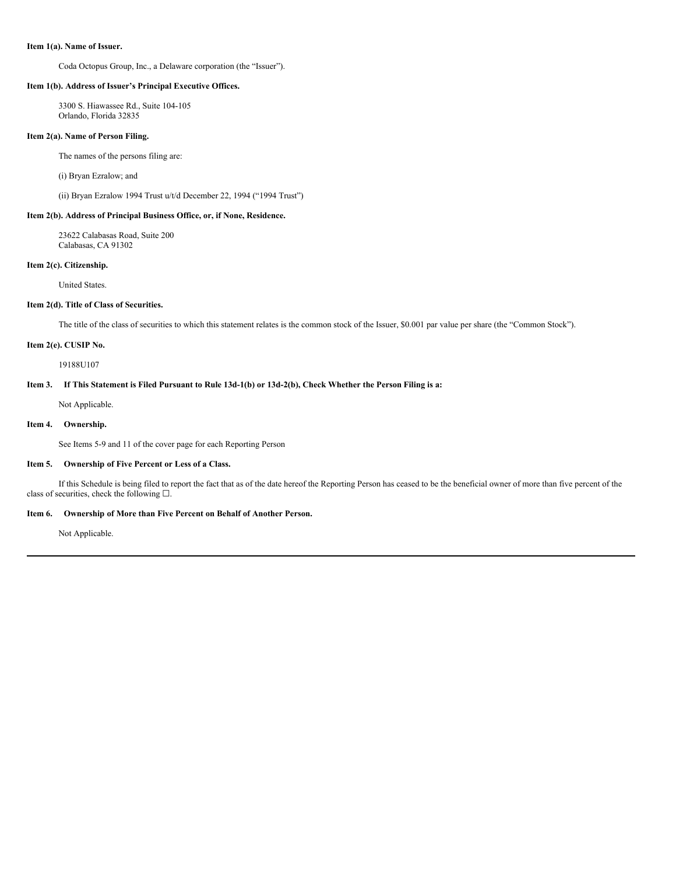#### **Item 1(a). Name of Issuer.**

Coda Octopus Group, Inc., a Delaware corporation (the "Issuer").

#### **Item 1(b). Address of Issuer's Principal Executive Offices.**

3300 S. Hiawassee Rd., Suite 104-105 Orlando, Florida 32835

#### **Item 2(a). Name of Person Filing.**

The names of the persons filing are:

(i) Bryan Ezralow; and

(ii) Bryan Ezralow 1994 Trust u/t/d December 22, 1994 ("1994 Trust")

## **Item 2(b). Address of Principal Business Office, or, if None, Residence.**

23622 Calabasas Road, Suite 200 Calabasas, CA 91302

### **Item 2(c). Citizenship.**

United States.

### **Item 2(d). Title of Class of Securities.**

The title of the class of securities to which this statement relates is the common stock of the Issuer, \$0.001 par value per share (the "Common Stock").

## **Item 2(e). CUSIP No.**

19188U107

## Item 3. If This Statement is Filed Pursuant to Rule 13d-1(b) or 13d-2(b), Check Whether the Person Filing is a:

Not Applicable.

## **Item 4. Ownership.**

See Items 5-9 and 11 of the cover page for each Reporting Person

#### **Item 5. Ownership of Five Percent or Less of a Class.**

If this Schedule is being filed to report the fact that as of the date hereof the Reporting Person has ceased to be the beneficial owner of more than five percent of the class of securities, check the following  $\square$ .

### **Item 6. Ownership of More than Five Percent on Behalf of Another Person.**

Not Applicable.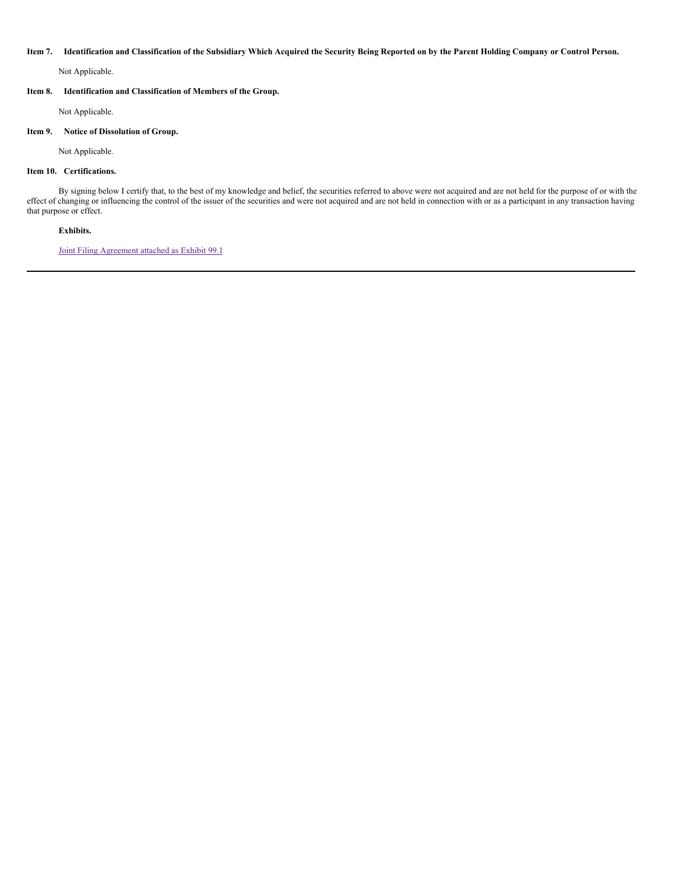#### Item 7. Identification and Classification of the Subsidiary Which Acquired the Security Being Reported on by the Parent Holding Company or Control Person.

Not Applicable.

## **Item 8. Identification and Classification of Members of the Group.**

Not Applicable.

#### **Item 9. Notice of Dissolution of Group.**

Not Applicable.

## **Item 10. Certifications.**

By signing below I certify that, to the best of my knowledge and belief, the securities referred to above were not acquired and are not held for the purpose of or with the effect of changing or influencing the control of the issuer of the securities and were not acquired and are not held in connection with or as a participant in any transaction having that purpose or effect.

## **Exhibits.**

Joint Filing [Agreement](#page-8-0) attached as Exhibit 99.1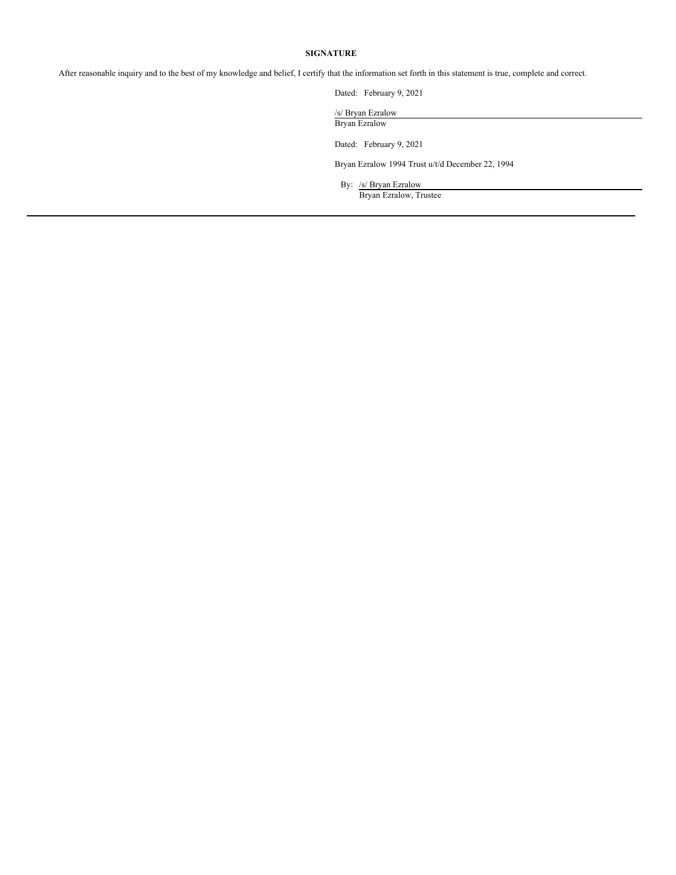### **SIGNATURE**

After reasonable inquiry and to the best of my knowledge and belief, I certify that the information set forth in this statement is true, complete and correct.

Dated: February 9, 2021

/s/ Bryan Ezralow Bryan Ezralow

Dated: February 9, 2021

Bryan Ezralow 1994 Trust u/t/d December 22, 1994

By: /s/ Bryan Ezralow Bryan Ezralow, Trustee